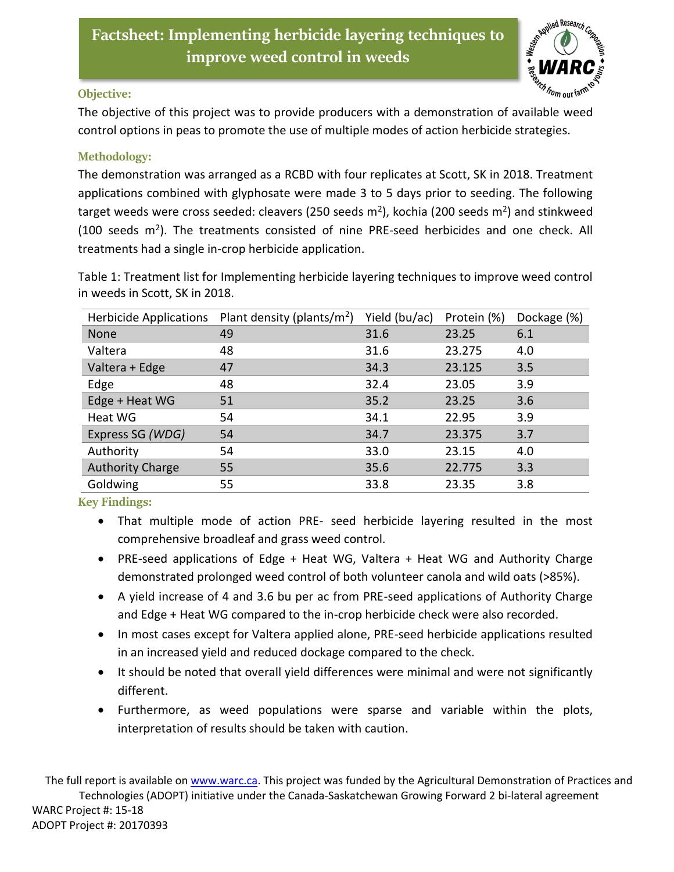

## **Objective:**

The objective of this project was to provide producers with a demonstration of available weed control options in peas to promote the use of multiple modes of action herbicide strategies.

## **Methodology:**

The demonstration was arranged as a RCBD with four replicates at Scott, SK in 2018. Treatment applications combined with glyphosate were made 3 to 5 days prior to seeding. The following target weeds were cross seeded: cleavers (250 seeds m<sup>2</sup>), kochia (200 seeds m<sup>2</sup>) and stinkweed (100 seeds m<sup>2</sup>). The treatments consisted of nine PRE-seed herbicides and one check. All treatments had a single in-crop herbicide application.

Table 1: Treatment list for Implementing herbicide layering techniques to improve weed control in weeds in Scott, SK in 2018.

| <b>Herbicide Applications</b> | Plant density (plants/ $m2$ ) | Yield (bu/ac) | Protein (%) | Dockage (%) |
|-------------------------------|-------------------------------|---------------|-------------|-------------|
| None                          | 49                            | 31.6          | 23.25       | 6.1         |
| Valtera                       | 48                            | 31.6          | 23.275      | 4.0         |
| Valtera + Edge                | 47                            | 34.3          | 23.125      | 3.5         |
| Edge                          | 48                            | 32.4          | 23.05       | 3.9         |
| Edge + Heat WG                | 51                            | 35.2          | 23.25       | 3.6         |
| Heat WG                       | 54                            | 34.1          | 22.95       | 3.9         |
| Express SG (WDG)              | 54                            | 34.7          | 23.375      | 3.7         |
| Authority                     | 54                            | 33.0          | 23.15       | 4.0         |
| <b>Authority Charge</b>       | 55                            | 35.6          | 22.775      | 3.3         |
| Goldwing                      | 55                            | 33.8          | 23.35       | 3.8         |

**Key Findings:** 

- That multiple mode of action PRE- seed herbicide layering resulted in the most comprehensive broadleaf and grass weed control.
- PRE-seed applications of Edge + Heat WG, Valtera + Heat WG and Authority Charge demonstrated prolonged weed control of both volunteer canola and wild oats (>85%).
- A yield increase of 4 and 3.6 bu per ac from PRE-seed applications of Authority Charge and Edge + Heat WG compared to the in-crop herbicide check were also recorded.
- In most cases except for Valtera applied alone, PRE-seed herbicide applications resulted in an increased yield and reduced dockage compared to the check.
- It should be noted that overall yield differences were minimal and were not significantly different.
- Furthermore, as weed populations were sparse and variable within the plots, interpretation of results should be taken with caution.

The full report is available on [www.warc.ca.](http://www.warc.ca/) This project was funded by the Agricultural Demonstration of Practices and Technologies (ADOPT) initiative under the Canada-Saskatchewan Growing Forward 2 bi-lateral agreement WARC Project #: 15-18 ADOPT Project #: 20170393